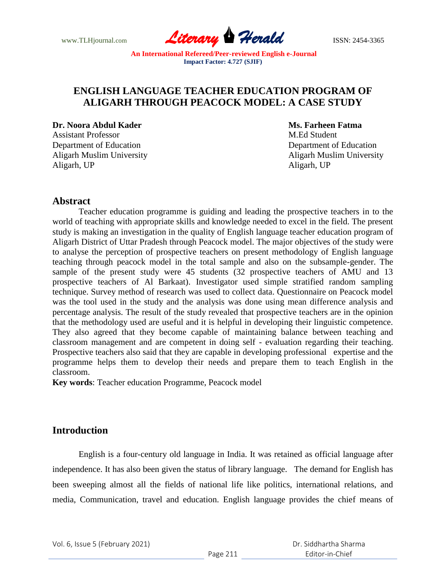www.TLHjournal.com **Literary Perald ISSN: 2454-3365** 

## **ENGLISH LANGUAGE TEACHER EDUCATION PROGRAM OF ALIGARH THROUGH PEACOCK MODEL: A CASE STUDY**

#### **Dr. Noora Abdul Kader Ms. Farheen Fatma**

Assistant Professor M.Ed Student Department of Education Department of Education Aligarh Muslim University Aligarh Muslim University Aligarh, UP **Aligarh, UP** Aligarh, UP

## **Abstract**

Teacher education programme is guiding and leading the prospective teachers in to the world of teaching with appropriate skills and knowledge needed to excel in the field. The present study is making an investigation in the quality of English language teacher education program of Aligarh District of Uttar Pradesh through Peacock model. The major objectives of the study were to analyse the perception of prospective teachers on present methodology of English language teaching through peacock model in the total sample and also on the subsample-gender. The sample of the present study were 45 students (32 prospective teachers of AMU and 13 prospective teachers of Al Barkaat). Investigator used simple stratified random sampling technique. Survey method of research was used to collect data. Questionnaire on Peacock model was the tool used in the study and the analysis was done using mean difference analysis and percentage analysis. The result of the study revealed that prospective teachers are in the opinion that the methodology used are useful and it is helpful in developing their linguistic competence. They also agreed that they become capable of maintaining balance between teaching and classroom management and are competent in doing self - evaluation regarding their teaching. Prospective teachers also said that they are capable in developing professional expertise and the programme helps them to develop their needs and prepare them to teach English in the classroom.

**Key words**: Teacher education Programme, Peacock model

## **Introduction**

English is a four-century old language in India. It was retained as official language after independence. It has also been given the status of library language. The demand for English has been sweeping almost all the fields of national life like politics, international relations, and media, Communication, travel and education. English language provides the chief means of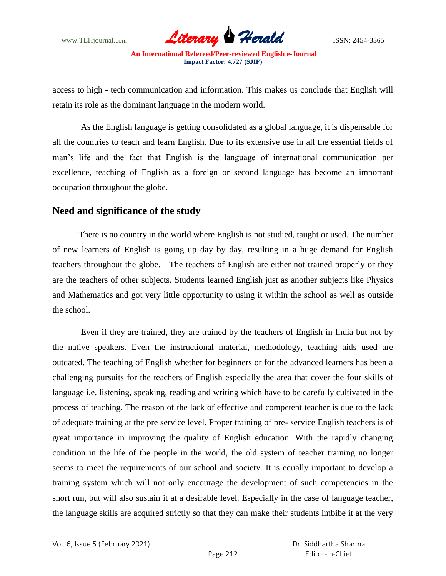www.TLHjournal.com **Literary Herald ISSN: 2454-3365** 

access to high - tech communication and information. This makes us conclude that English will retain its role as the dominant language in the modern world.

As the English language is getting consolidated as a global language, it is dispensable for all the countries to teach and learn English. Due to its extensive use in all the essential fields of man"s life and the fact that English is the language of international communication per excellence, teaching of English as a foreign or second language has become an important occupation throughout the globe.

### **Need and significance of the study**

There is no country in the world where English is not studied, taught or used. The number of new learners of English is going up day by day, resulting in a huge demand for English teachers throughout the globe. The teachers of English are either not trained properly or they are the teachers of other subjects. Students learned English just as another subjects like Physics and Mathematics and got very little opportunity to using it within the school as well as outside the school.

Even if they are trained, they are trained by the teachers of English in India but not by the native speakers. Even the instructional material, methodology, teaching aids used are outdated. The teaching of English whether for beginners or for the advanced learners has been a challenging pursuits for the teachers of English especially the area that cover the four skills of language i.e. listening, speaking, reading and writing which have to be carefully cultivated in the process of teaching. The reason of the lack of effective and competent teacher is due to the lack of adequate training at the pre service level. Proper training of pre- service English teachers is of great importance in improving the quality of English education. With the rapidly changing condition in the life of the people in the world, the old system of teacher training no longer seems to meet the requirements of our school and society. It is equally important to develop a training system which will not only encourage the development of such competencies in the short run, but will also sustain it at a desirable level. Especially in the case of language teacher, the language skills are acquired strictly so that they can make their students imbibe it at the very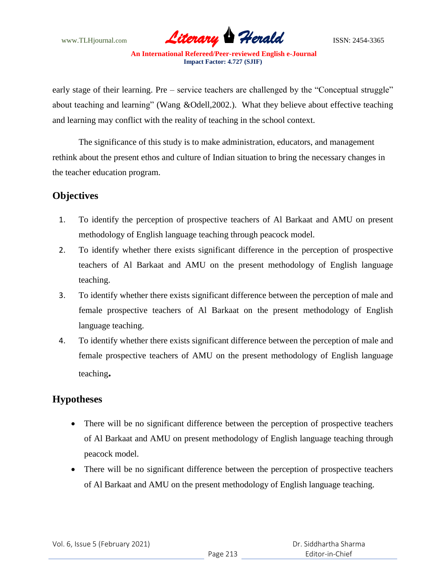

early stage of their learning. Pre – service teachers are challenged by the "Conceptual struggle" about teaching and learning" (Wang &Odell,2002.). What they believe about effective teaching and learning may conflict with the reality of teaching in the school context.

The significance of this study is to make administration, educators, and management rethink about the present ethos and culture of Indian situation to bring the necessary changes in the teacher education program.

# **Objectives**

- 1. To identify the perception of prospective teachers of Al Barkaat and AMU on present methodology of English language teaching through peacock model.
- 2. To identify whether there exists significant difference in the perception of prospective teachers of Al Barkaat and AMU on the present methodology of English language teaching.
- 3. To identify whether there exists significant difference between the perception of male and female prospective teachers of Al Barkaat on the present methodology of English language teaching.
- 4. To identify whether there exists significant difference between the perception of male and female prospective teachers of AMU on the present methodology of English language teaching**.**

# **Hypotheses**

- There will be no significant difference between the perception of prospective teachers of Al Barkaat and AMU on present methodology of English language teaching through peacock model.
- There will be no significant difference between the perception of prospective teachers of Al Barkaat and AMU on the present methodology of English language teaching.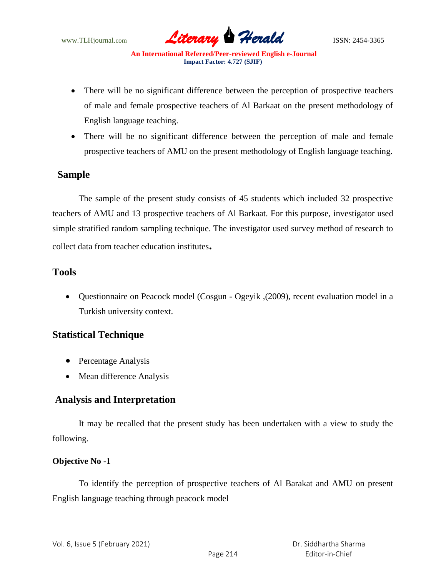

- There will be no significant difference between the perception of prospective teachers of male and female prospective teachers of Al Barkaat on the present methodology of English language teaching.
- There will be no significant difference between the perception of male and female prospective teachers of AMU on the present methodology of English language teaching.

## **Sample**

The sample of the present study consists of 45 students which included 32 prospective teachers of AMU and 13 prospective teachers of Al Barkaat. For this purpose, investigator used simple stratified random sampling technique. The investigator used survey method of research to collect data from teacher education institutes**.**

## **Tools**

 Questionnaire on Peacock model (Cosgun - Ogeyik ,(2009), recent evaluation model in a Turkish university context.

## **Statistical Technique**

- Percentage Analysis
- Mean difference Analysis

# **Analysis and Interpretation**

 It may be recalled that the present study has been undertaken with a view to study the following.

## **Objective No -1**

To identify the perception of prospective teachers of Al Barakat and AMU on present English language teaching through peacock model

|  | Vol. 6, Issue 5 (February 2021) |
|--|---------------------------------|
|--|---------------------------------|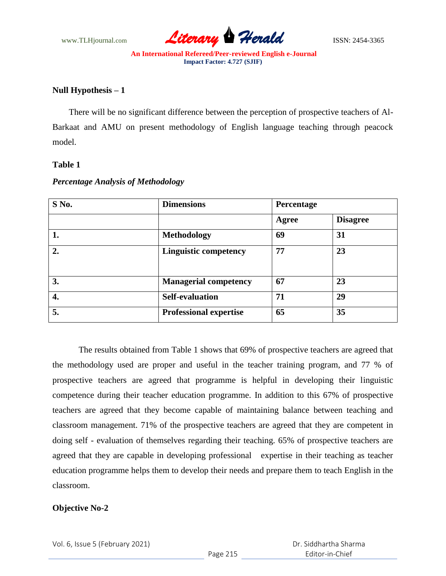

### **Null Hypothesis – 1**

There will be no significant difference between the perception of prospective teachers of Al-Barkaat and AMU on present methodology of English language teaching through peacock model.

#### **Table 1**

| S No. | <b>Dimensions</b>             |       |                 |
|-------|-------------------------------|-------|-----------------|
|       |                               | Agree | <b>Disagree</b> |
| 1.    | <b>Methodology</b>            | 69    | 31              |
| 2.    | <b>Linguistic competency</b>  | 77    | 23              |
| 3.    | <b>Managerial competency</b>  | 67    | 23              |
| 4.    | <b>Self-evaluation</b>        | 71    | 29              |
| 5.    | <b>Professional expertise</b> | 65    | 35              |

#### *Percentage Analysis of Methodology*

The results obtained from Table 1 shows that 69% of prospective teachers are agreed that the methodology used are proper and useful in the teacher training program, and 77 % of prospective teachers are agreed that programme is helpful in developing their linguistic competence during their teacher education programme. In addition to this 67% of prospective teachers are agreed that they become capable of maintaining balance between teaching and classroom management. 71% of the prospective teachers are agreed that they are competent in doing self - evaluation of themselves regarding their teaching. 65% of prospective teachers are agreed that they are capable in developing professional expertise in their teaching as teacher education programme helps them to develop their needs and prepare them to teach English in the classroom.

#### **Objective No-2**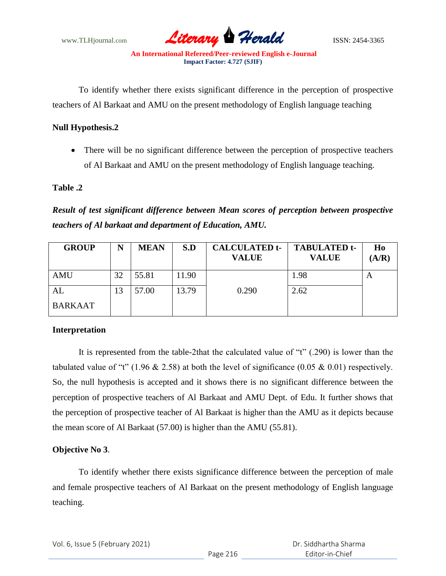

To identify whether there exists significant difference in the perception of prospective teachers of Al Barkaat and AMU on the present methodology of English language teaching

#### **Null Hypothesis.2**

 There will be no significant difference between the perception of prospective teachers of Al Barkaat and AMU on the present methodology of English language teaching.

#### **Table .2**

*Result of test significant difference between Mean scores of perception between prospective teachers of Al barkaat and department of Education, AMU.*

| <b>GROUP</b>   |    | <b>MEAN</b> | S.D   | <b>CALCULATED t-</b><br><b>VALUE</b> | <b>TABULATED t-</b><br><b>VALUE</b> | H <sub>0</sub><br>(A/R) |
|----------------|----|-------------|-------|--------------------------------------|-------------------------------------|-------------------------|
| <b>AMU</b>     | 32 | 55.81       | 11.90 |                                      | 1.98                                | A                       |
| AL             | 3  | 57.00       | 13.79 | 0.290                                | 2.62                                |                         |
| <b>BARKAAT</b> |    |             |       |                                      |                                     |                         |

#### **Interpretation**

It is represented from the table-2that the calculated value of "t" (.290) is lower than the tabulated value of "t" (1.96  $& 2.58$ ) at both the level of significance (0.05  $& 0.01$ ) respectively. So, the null hypothesis is accepted and it shows there is no significant difference between the perception of prospective teachers of Al Barkaat and AMU Dept. of Edu. It further shows that the perception of prospective teacher of Al Barkaat is higher than the AMU as it depicts because the mean score of Al Barkaat (57.00) is higher than the AMU (55.81).

#### **Objective No <sup>3</sup>**.

To identify whether there exists significance difference between the perception of male and female prospective teachers of Al Barkaat on the present methodology of English language teaching.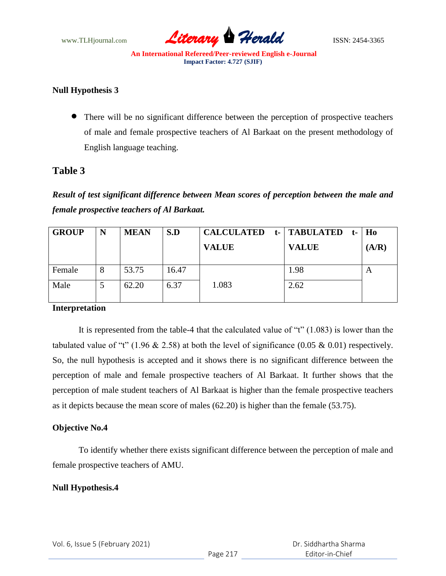

### **Null Hypothesis 3**

 There will be no significant difference between the perception of prospective teachers of male and female prospective teachers of Al Barkaat on the present methodology of English language teaching.

## **Table 3**

*Result of test significant difference between Mean scores of perception between the male and female prospective teachers of Al Barkaat.*

| N | <b>MEAN</b> | S.D   | <b>CALCULATED</b> | t-   TABULATED<br>$t-$ | Ho    |
|---|-------------|-------|-------------------|------------------------|-------|
|   |             |       | <b>VALUE</b>      | <b>VALUE</b>           | (A/R) |
|   |             |       |                   |                        |       |
| 8 | 53.75       | 16.47 |                   | 1.98                   | A     |
|   | 62.20       | 6.37  | 1.083             | 2.62                   |       |
|   |             |       |                   |                        |       |

#### **Interpretation**

It is represented from the table-4 that the calculated value of "t" (1.083) is lower than the tabulated value of "t" (1.96  $& 2.58$ ) at both the level of significance (0.05  $& 0.01$ ) respectively. So, the null hypothesis is accepted and it shows there is no significant difference between the perception of male and female prospective teachers of Al Barkaat. It further shows that the perception of male student teachers of Al Barkaat is higher than the female prospective teachers as it depicts because the mean score of males (62.20) is higher than the female (53.75).

#### **Objective No.4**

To identify whether there exists significant difference between the perception of male and female prospective teachers of AMU.

#### **Null Hypothesis.4**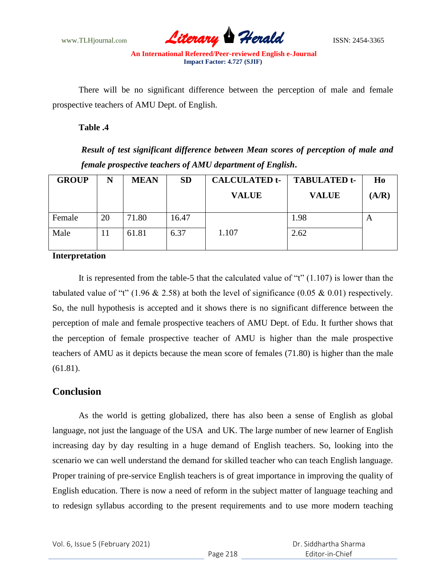

There will be no significant difference between the perception of male and female prospective teachers of AMU Dept. of English.

**Table .4**

*Result of test significant difference between Mean scores of perception of male and female prospective teachers of AMU department of English***.**

| <b>GROUP</b> | N  | <b>MEAN</b> | <b>SD</b> | <b>CALCULATED t-</b><br><b>VALUE</b> | <b>TABULATED t-</b><br><b>VALUE</b> | Ho<br>(A/R) |
|--------------|----|-------------|-----------|--------------------------------------|-------------------------------------|-------------|
| Female       | 20 | 71.80       | 16.47     |                                      | 1.98                                | A           |
| Male         | 11 | 61.81       | 6.37      | 1.107                                | 2.62                                |             |

#### **Interpretation**

It is represented from the table-5 that the calculated value of "t" (1.107) is lower than the tabulated value of "t" (1.96  $& 2.58$ ) at both the level of significance (0.05  $& 0.01$ ) respectively. So, the null hypothesis is accepted and it shows there is no significant difference between the perception of male and female prospective teachers of AMU Dept. of Edu. It further shows that the perception of female prospective teacher of AMU is higher than the male prospective teachers of AMU as it depicts because the mean score of females (71.80) is higher than the male (61.81).

## **Conclusion**

As the world is getting globalized, there has also been a sense of English as global language, not just the language of the USA and UK. The large number of new learner of English increasing day by day resulting in a huge demand of English teachers. So, looking into the scenario we can well understand the demand for skilled teacher who can teach English language. Proper training of pre-service English teachers is of great importance in improving the quality of English education. There is now a need of reform in the subject matter of language teaching and to redesign syllabus according to the present requirements and to use more modern teaching